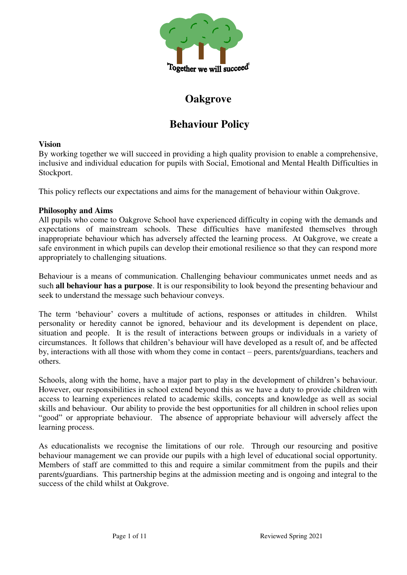

# **Oakgrove**

# **Behaviour Policy**

# **Vision**

By working together we will succeed in providing a high quality provision to enable a comprehensive, inclusive and individual education for pupils with Social, Emotional and Mental Health Difficulties in Stockport.

This policy reflects our expectations and aims for the management of behaviour within Oakgrove.

# **Philosophy and Aims**

All pupils who come to Oakgrove School have experienced difficulty in coping with the demands and expectations of mainstream schools. These difficulties have manifested themselves through inappropriate behaviour which has adversely affected the learning process. At Oakgrove, we create a safe environment in which pupils can develop their emotional resilience so that they can respond more appropriately to challenging situations.

Behaviour is a means of communication. Challenging behaviour communicates unmet needs and as such **all behaviour has a purpose**. It is our responsibility to look beyond the presenting behaviour and seek to understand the message such behaviour conveys.

The term 'behaviour' covers a multitude of actions, responses or attitudes in children. Whilst personality or heredity cannot be ignored, behaviour and its development is dependent on place, situation and people. It is the result of interactions between groups or individuals in a variety of circumstances. It follows that children's behaviour will have developed as a result of, and be affected by, interactions with all those with whom they come in contact – peers, parents/guardians, teachers and others.

Schools, along with the home, have a major part to play in the development of children's behaviour. However, our responsibilities in school extend beyond this as we have a duty to provide children with access to learning experiences related to academic skills, concepts and knowledge as well as social skills and behaviour. Our ability to provide the best opportunities for all children in school relies upon "good" or appropriate behaviour. The absence of appropriate behaviour will adversely affect the learning process.

As educationalists we recognise the limitations of our role. Through our resourcing and positive behaviour management we can provide our pupils with a high level of educational social opportunity. Members of staff are committed to this and require a similar commitment from the pupils and their parents/guardians. This partnership begins at the admission meeting and is ongoing and integral to the success of the child whilst at Oakgrove.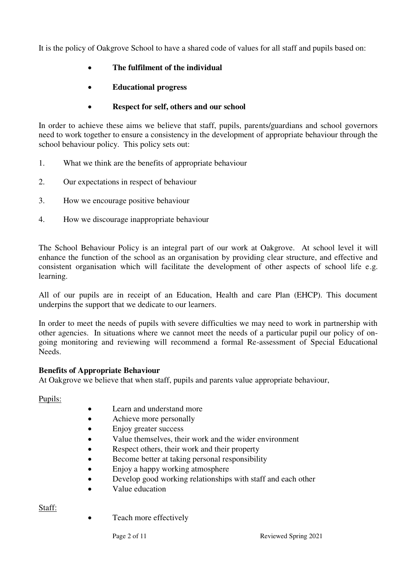It is the policy of Oakgrove School to have a shared code of values for all staff and pupils based on:

- **The fulfilment of the individual**
- **Educational progress**

# **Respect for self, others and our school**

In order to achieve these aims we believe that staff, pupils, parents/guardians and school governors need to work together to ensure a consistency in the development of appropriate behaviour through the school behaviour policy. This policy sets out:

- 1. What we think are the benefits of appropriate behaviour
- 2. Our expectations in respect of behaviour
- 3. How we encourage positive behaviour
- 4. How we discourage inappropriate behaviour

The School Behaviour Policy is an integral part of our work at Oakgrove. At school level it will enhance the function of the school as an organisation by providing clear structure, and effective and consistent organisation which will facilitate the development of other aspects of school life e.g. learning.

All of our pupils are in receipt of an Education, Health and care Plan (EHCP). This document underpins the support that we dedicate to our learners.

In order to meet the needs of pupils with severe difficulties we may need to work in partnership with other agencies. In situations where we cannot meet the needs of a particular pupil our policy of ongoing monitoring and reviewing will recommend a formal Re-assessment of Special Educational Needs.

# **Benefits of Appropriate Behaviour**

At Oakgrove we believe that when staff, pupils and parents value appropriate behaviour,

Pupils:

- Learn and understand more
- Achieve more personally
- Enjoy greater success
- Value themselves, their work and the wider environment
- Respect others, their work and their property
- Become better at taking personal responsibility
- Enjoy a happy working atmosphere
- Develop good working relationships with staff and each other
- Value education

Staff:

• Teach more effectively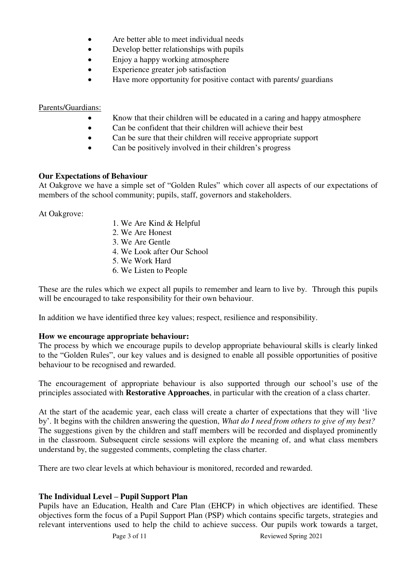- Are better able to meet individual needs
- Develop better relationships with pupils
- Enjoy a happy working atmosphere
- Experience greater job satisfaction
- Have more opportunity for positive contact with parents/ guardians

Parents/Guardians:

- Know that their children will be educated in a caring and happy atmosphere
- Can be confident that their children will achieve their best
- Can be sure that their children will receive appropriate support
- Can be positively involved in their children's progress

# **Our Expectations of Behaviour**

At Oakgrove we have a simple set of "Golden Rules" which cover all aspects of our expectations of members of the school community; pupils, staff, governors and stakeholders.

At Oakgrove:

- 1. We Are Kind & Helpful
- 2. We Are Honest
- 3. We Are Gentle
- 4. We Look after Our School
- 5. We Work Hard
- 6. We Listen to People

These are the rules which we expect all pupils to remember and learn to live by. Through this pupils will be encouraged to take responsibility for their own behaviour.

In addition we have identified three key values; respect, resilience and responsibility.

# **How we encourage appropriate behaviour:**

The process by which we encourage pupils to develop appropriate behavioural skills is clearly linked to the "Golden Rules", our key values and is designed to enable all possible opportunities of positive behaviour to be recognised and rewarded.

The encouragement of appropriate behaviour is also supported through our school's use of the principles associated with **Restorative Approaches**, in particular with the creation of a class charter.

At the start of the academic year, each class will create a charter of expectations that they will 'live by'. It begins with the children answering the question, *What do I need from others to give of my best?*  The suggestions given by the children and staff members will be recorded and displayed prominently in the classroom. Subsequent circle sessions will explore the meaning of, and what class members understand by, the suggested comments, completing the class charter.

There are two clear levels at which behaviour is monitored, recorded and rewarded.

# **The Individual Level – Pupil Support Plan**

Pupils have an Education, Health and Care Plan (EHCP) in which objectives are identified. These objectives form the focus of a Pupil Support Plan (PSP) which contains specific targets, strategies and relevant interventions used to help the child to achieve success. Our pupils work towards a target,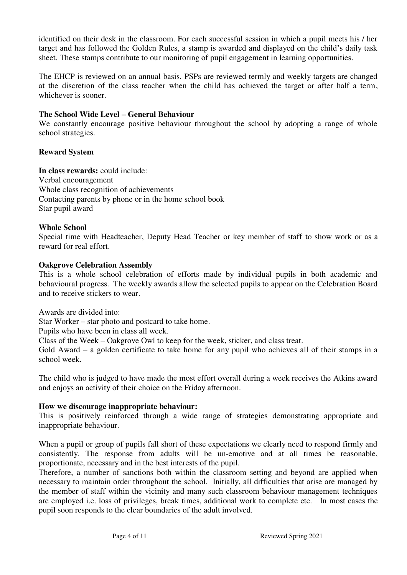identified on their desk in the classroom. For each successful session in which a pupil meets his / her target and has followed the Golden Rules, a stamp is awarded and displayed on the child's daily task sheet. These stamps contribute to our monitoring of pupil engagement in learning opportunities.

The EHCP is reviewed on an annual basis. PSPs are reviewed termly and weekly targets are changed at the discretion of the class teacher when the child has achieved the target or after half a term, whichever is sooner.

## **The School Wide Level – General Behaviour**

We constantly encourage positive behaviour throughout the school by adopting a range of whole school strategies.

## **Reward System**

**In class rewards:** could include: Verbal encouragement Whole class recognition of achievements Contacting parents by phone or in the home school book Star pupil award

## **Whole School**

Special time with Headteacher, Deputy Head Teacher or key member of staff to show work or as a reward for real effort.

#### **Oakgrove Celebration Assembly**

This is a whole school celebration of efforts made by individual pupils in both academic and behavioural progress. The weekly awards allow the selected pupils to appear on the Celebration Board and to receive stickers to wear.

Awards are divided into:

Star Worker – star photo and postcard to take home.

Pupils who have been in class all week.

Class of the Week – Oakgrove Owl to keep for the week, sticker, and class treat.

Gold Award – a golden certificate to take home for any pupil who achieves all of their stamps in a school week.

The child who is judged to have made the most effort overall during a week receives the Atkins award and enjoys an activity of their choice on the Friday afternoon.

#### **How we discourage inappropriate behaviour:**

This is positively reinforced through a wide range of strategies demonstrating appropriate and inappropriate behaviour.

When a pupil or group of pupils fall short of these expectations we clearly need to respond firmly and consistently. The response from adults will be un-emotive and at all times be reasonable, proportionate, necessary and in the best interests of the pupil.

Therefore, a number of sanctions both within the classroom setting and beyond are applied when necessary to maintain order throughout the school. Initially, all difficulties that arise are managed by the member of staff within the vicinity and many such classroom behaviour management techniques are employed i.e. loss of privileges, break times, additional work to complete etc. In most cases the pupil soon responds to the clear boundaries of the adult involved.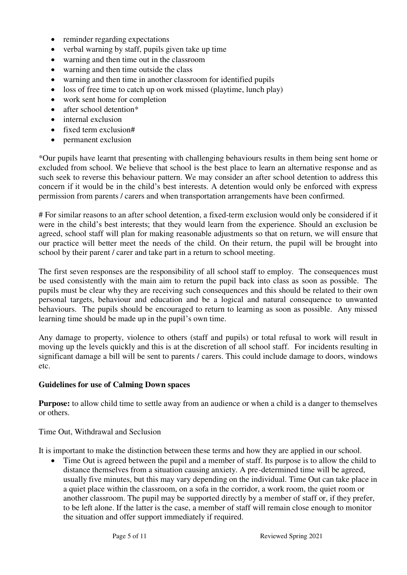- reminder regarding expectations
- $\bullet$  verbal warning by staff, pupils given take up time
- warning and then time out in the classroom
- warning and then time outside the class
- warning and then time in another classroom for identified pupils
- loss of free time to catch up on work missed (playtime, lunch play)
- work sent home for completion
- after school detention\*
- internal exclusion
- fixed term exclusion#
- permanent exclusion

\*Our pupils have learnt that presenting with challenging behaviours results in them being sent home or excluded from school. We believe that school is the best place to learn an alternative response and as such seek to reverse this behaviour pattern. We may consider an after school detention to address this concern if it would be in the child's best interests. A detention would only be enforced with express permission from parents / carers and when transportation arrangements have been confirmed.

# For similar reasons to an after school detention, a fixed-term exclusion would only be considered if it were in the child's best interests; that they would learn from the experience. Should an exclusion be agreed, school staff will plan for making reasonable adjustments so that on return, we will ensure that our practice will better meet the needs of the child. On their return, the pupil will be brought into school by their parent / carer and take part in a return to school meeting.

The first seven responses are the responsibility of all school staff to employ. The consequences must be used consistently with the main aim to return the pupil back into class as soon as possible. The pupils must be clear why they are receiving such consequences and this should be related to their own personal targets, behaviour and education and be a logical and natural consequence to unwanted behaviours. The pupils should be encouraged to return to learning as soon as possible. Any missed learning time should be made up in the pupil's own time.

Any damage to property, violence to others (staff and pupils) or total refusal to work will result in moving up the levels quickly and this is at the discretion of all school staff. For incidents resulting in significant damage a bill will be sent to parents / carers. This could include damage to doors, windows etc.

# **Guidelines for use of Calming Down spaces**

**Purpose:** to allow child time to settle away from an audience or when a child is a danger to themselves or others.

# Time Out, Withdrawal and Seclusion

It is important to make the distinction between these terms and how they are applied in our school.

• Time Out is agreed between the pupil and a member of staff. Its purpose is to allow the child to distance themselves from a situation causing anxiety. A pre-determined time will be agreed, usually five minutes, but this may vary depending on the individual. Time Out can take place in a quiet place within the classroom, on a sofa in the corridor, a work room, the quiet room or another classroom. The pupil may be supported directly by a member of staff or, if they prefer, to be left alone. If the latter is the case, a member of staff will remain close enough to monitor the situation and offer support immediately if required.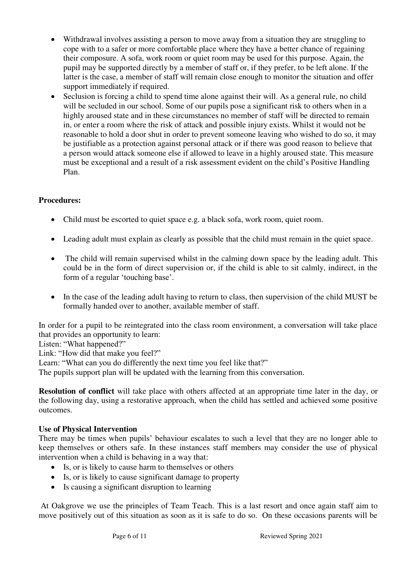- Withdrawal involves assisting a person to move away from a situation they are struggling to cope with to a safer or more comfortable place where they have a better chance of regaining their composure. A sofa, work room or quiet room may be used for this purpose. Again, the pupil may be supported directly by a member of staff or, if they prefer, to be left alone. If the latter is the case, a member of staff will remain close enough to monitor the situation and offer support immediately if required.
- Seclusion is forcing a child to spend time alone against their will. As a general rule, no child will be secluded in our school. Some of our pupils pose a significant risk to others when in a highly aroused state and in these circumstances no member of staff will be directed to remain in, or enter a room where the risk of attack and possible injury exists. Whilst it would not be reasonable to hold a door shut in order to prevent someone leaving who wished to do so, it may be justifiable as a protection against personal attack or if there was good reason to believe that a person would attack someone else if allowed to leave in a highly aroused state. This measure must be exceptional and a result of a risk assessment evident on the child's Positive Handling Plan.

# **Procedures:**

- Child must be escorted to quiet space e.g. a black sofa, work room, quiet room.
- Leading adult must explain as clearly as possible that the child must remain in the quiet space.
- The child will remain supervised whilst in the calming down space by the leading adult. This could be in the form of direct supervision or, if the child is able to sit calmly, indirect, in the form of a regular 'touching base'.
- In the case of the leading adult having to return to class, then supervision of the child MUST be formally handed over to another, available member of staff.

In order for a pupil to be reintegrated into the class room environment, a conversation will take place that provides an opportunity to learn:

Listen: "What happened?"

Link: "How did that make you feel?"

Learn: "What can you do differently the next time you feel like that?"

The pupils support plan will be updated with the learning from this conversation.

**Resolution of conflict** will take place with others affected at an appropriate time later in the day, or the following day, using a restorative approach, when the child has settled and achieved some positive outcomes.

# **Use of Physical Intervention**

There may be times when pupils' behaviour escalates to such a level that they are no longer able to keep themselves or others safe. In these instances staff members may consider the use of physical intervention when a child is behaving in a way that:

- Is, or is likely to cause harm to themselves or others
- Is, or is likely to cause significant damage to property
- Is causing a significant disruption to learning

 At Oakgrove we use the principles of Team Teach. This is a last resort and once again staff aim to move positively out of this situation as soon as it is safe to do so. On these occasions parents will be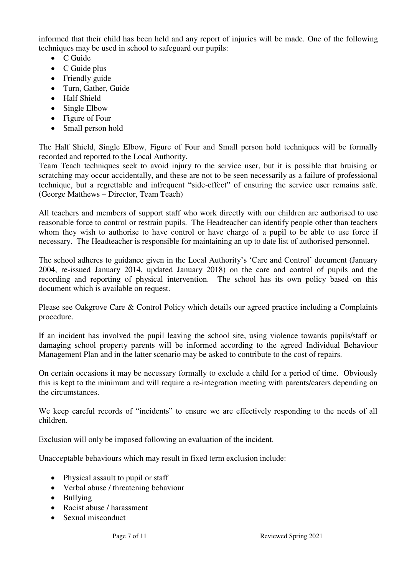informed that their child has been held and any report of injuries will be made. One of the following techniques may be used in school to safeguard our pupils:

- $\bullet$  C Guide
- C Guide plus
- Friendly guide
- Turn, Gather, Guide
- Half Shield
- Single Elbow
- Figure of Four
- Small person hold

The Half Shield, Single Elbow, Figure of Four and Small person hold techniques will be formally recorded and reported to the Local Authority.

Team Teach techniques seek to avoid injury to the service user, but it is possible that bruising or scratching may occur accidentally, and these are not to be seen necessarily as a failure of professional technique, but a regrettable and infrequent "side-effect" of ensuring the service user remains safe. (George Matthews – Director, Team Teach)

All teachers and members of support staff who work directly with our children are authorised to use reasonable force to control or restrain pupils. The Headteacher can identify people other than teachers whom they wish to authorise to have control or have charge of a pupil to be able to use force if necessary. The Headteacher is responsible for maintaining an up to date list of authorised personnel.

The school adheres to guidance given in the Local Authority's 'Care and Control' document (January 2004, re-issued January 2014, updated January 2018) on the care and control of pupils and the recording and reporting of physical intervention. The school has its own policy based on this document which is available on request.

Please see Oakgrove Care & Control Policy which details our agreed practice including a Complaints procedure.

If an incident has involved the pupil leaving the school site, using violence towards pupils/staff or damaging school property parents will be informed according to the agreed Individual Behaviour Management Plan and in the latter scenario may be asked to contribute to the cost of repairs.

On certain occasions it may be necessary formally to exclude a child for a period of time. Obviously this is kept to the minimum and will require a re-integration meeting with parents/carers depending on the circumstances.

We keep careful records of "incidents" to ensure we are effectively responding to the needs of all children.

Exclusion will only be imposed following an evaluation of the incident.

Unacceptable behaviours which may result in fixed term exclusion include:

- Physical assault to pupil or staff
- Verbal abuse / threatening behaviour
- Bullying
- Racist abuse / harassment
- Sexual misconduct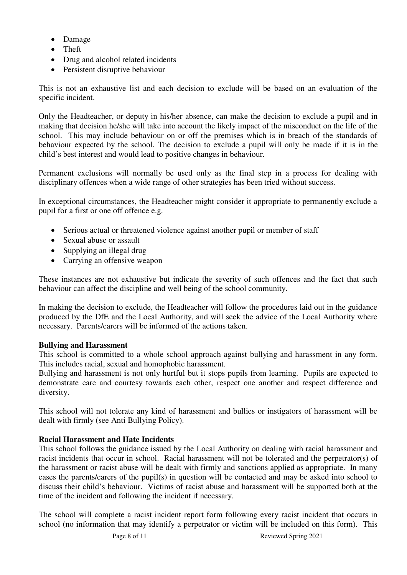- Damage
- Theft
- Drug and alcohol related incidents
- Persistent disruptive behaviour

This is not an exhaustive list and each decision to exclude will be based on an evaluation of the specific incident.

Only the Headteacher, or deputy in his/her absence, can make the decision to exclude a pupil and in making that decision he/she will take into account the likely impact of the misconduct on the life of the school. This may include behaviour on or off the premises which is in breach of the standards of behaviour expected by the school. The decision to exclude a pupil will only be made if it is in the child's best interest and would lead to positive changes in behaviour.

Permanent exclusions will normally be used only as the final step in a process for dealing with disciplinary offences when a wide range of other strategies has been tried without success.

In exceptional circumstances, the Headteacher might consider it appropriate to permanently exclude a pupil for a first or one off offence e.g.

- Serious actual or threatened violence against another pupil or member of staff
- Sexual abuse or assault
- Supplying an illegal drug
- Carrying an offensive weapon

These instances are not exhaustive but indicate the severity of such offences and the fact that such behaviour can affect the discipline and well being of the school community.

In making the decision to exclude, the Headteacher will follow the procedures laid out in the guidance produced by the DfE and the Local Authority, and will seek the advice of the Local Authority where necessary. Parents/carers will be informed of the actions taken.

#### **Bullying and Harassment**

This school is committed to a whole school approach against bullying and harassment in any form. This includes racial, sexual and homophobic harassment.

Bullying and harassment is not only hurtful but it stops pupils from learning. Pupils are expected to demonstrate care and courtesy towards each other, respect one another and respect difference and diversity.

This school will not tolerate any kind of harassment and bullies or instigators of harassment will be dealt with firmly (see Anti Bullying Policy).

# **Racial Harassment and Hate Incidents**

This school follows the guidance issued by the Local Authority on dealing with racial harassment and racist incidents that occur in school. Racial harassment will not be tolerated and the perpetrator(s) of the harassment or racist abuse will be dealt with firmly and sanctions applied as appropriate. In many cases the parents/carers of the pupil(s) in question will be contacted and may be asked into school to discuss their child's behaviour. Victims of racist abuse and harassment will be supported both at the time of the incident and following the incident if necessary.

The school will complete a racist incident report form following every racist incident that occurs in school (no information that may identify a perpetrator or victim will be included on this form). This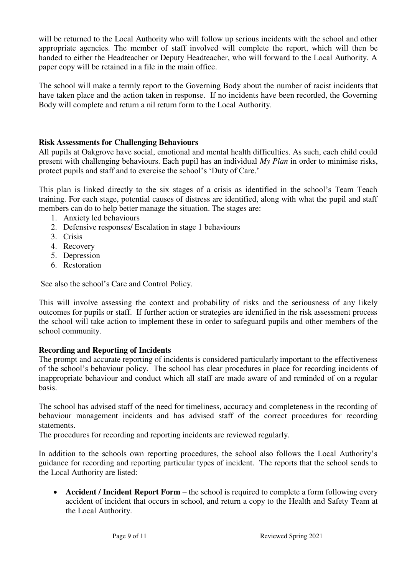will be returned to the Local Authority who will follow up serious incidents with the school and other appropriate agencies. The member of staff involved will complete the report, which will then be handed to either the Headteacher or Deputy Headteacher, who will forward to the Local Authority. A paper copy will be retained in a file in the main office.

The school will make a termly report to the Governing Body about the number of racist incidents that have taken place and the action taken in response. If no incidents have been recorded, the Governing Body will complete and return a nil return form to the Local Authority.

## **Risk Assessments for Challenging Behaviours**

All pupils at Oakgrove have social, emotional and mental health difficulties. As such, each child could present with challenging behaviours. Each pupil has an individual *My Plan* in order to minimise risks, protect pupils and staff and to exercise the school's 'Duty of Care.'

This plan is linked directly to the six stages of a crisis as identified in the school's Team Teach training. For each stage, potential causes of distress are identified, along with what the pupil and staff members can do to help better manage the situation. The stages are:

- 1. Anxiety led behaviours
- 2. Defensive responses/ Escalation in stage 1 behaviours
- 3. Crisis
- 4. Recovery
- 5. Depression
- 6. Restoration

See also the school's Care and Control Policy.

This will involve assessing the context and probability of risks and the seriousness of any likely outcomes for pupils or staff. If further action or strategies are identified in the risk assessment process the school will take action to implement these in order to safeguard pupils and other members of the school community.

#### **Recording and Reporting of Incidents**

The prompt and accurate reporting of incidents is considered particularly important to the effectiveness of the school's behaviour policy. The school has clear procedures in place for recording incidents of inappropriate behaviour and conduct which all staff are made aware of and reminded of on a regular basis.

The school has advised staff of the need for timeliness, accuracy and completeness in the recording of behaviour management incidents and has advised staff of the correct procedures for recording statements.

The procedures for recording and reporting incidents are reviewed regularly.

In addition to the schools own reporting procedures, the school also follows the Local Authority's guidance for recording and reporting particular types of incident. The reports that the school sends to the Local Authority are listed:

• **Accident / Incident Report Form** – the school is required to complete a form following every accident of incident that occurs in school, and return a copy to the Health and Safety Team at the Local Authority.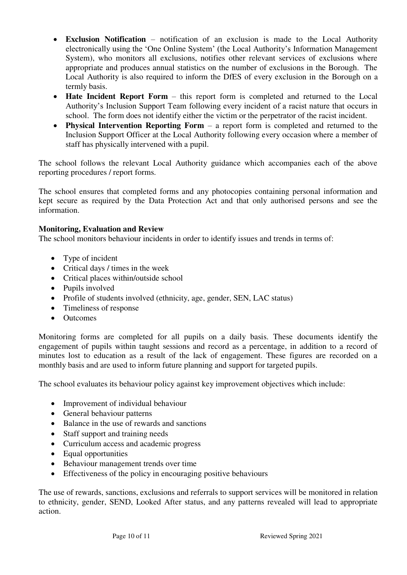- **Exclusion Notification** notification of an exclusion is made to the Local Authority electronically using the 'One Online System' (the Local Authority's Information Management System), who monitors all exclusions, notifies other relevant services of exclusions where appropriate and produces annual statistics on the number of exclusions in the Borough. The Local Authority is also required to inform the DfES of every exclusion in the Borough on a termly basis.
- **Hate Incident Report Form** this report form is completed and returned to the Local Authority's Inclusion Support Team following every incident of a racist nature that occurs in school. The form does not identify either the victim or the perpetrator of the racist incident.
- **Physical Intervention Reporting Form** a report form is completed and returned to the Inclusion Support Officer at the Local Authority following every occasion where a member of staff has physically intervened with a pupil.

The school follows the relevant Local Authority guidance which accompanies each of the above reporting procedures / report forms.

The school ensures that completed forms and any photocopies containing personal information and kept secure as required by the Data Protection Act and that only authorised persons and see the information.

# **Monitoring, Evaluation and Review**

The school monitors behaviour incidents in order to identify issues and trends in terms of:

- Type of incident
- Critical days / times in the week
- Critical places within/outside school
- Pupils involved
- Profile of students involved (ethnicity, age, gender, SEN, LAC status)
- Timeliness of response
- Outcomes

Monitoring forms are completed for all pupils on a daily basis. These documents identify the engagement of pupils within taught sessions and record as a percentage, in addition to a record of minutes lost to education as a result of the lack of engagement. These figures are recorded on a monthly basis and are used to inform future planning and support for targeted pupils.

The school evaluates its behaviour policy against key improvement objectives which include:

- Improvement of individual behaviour
- General behaviour patterns
- Balance in the use of rewards and sanctions
- Staff support and training needs
- Curriculum access and academic progress
- Equal opportunities
- Behaviour management trends over time
- Effectiveness of the policy in encouraging positive behaviours

The use of rewards, sanctions, exclusions and referrals to support services will be monitored in relation to ethnicity, gender, SEND, Looked After status, and any patterns revealed will lead to appropriate action.